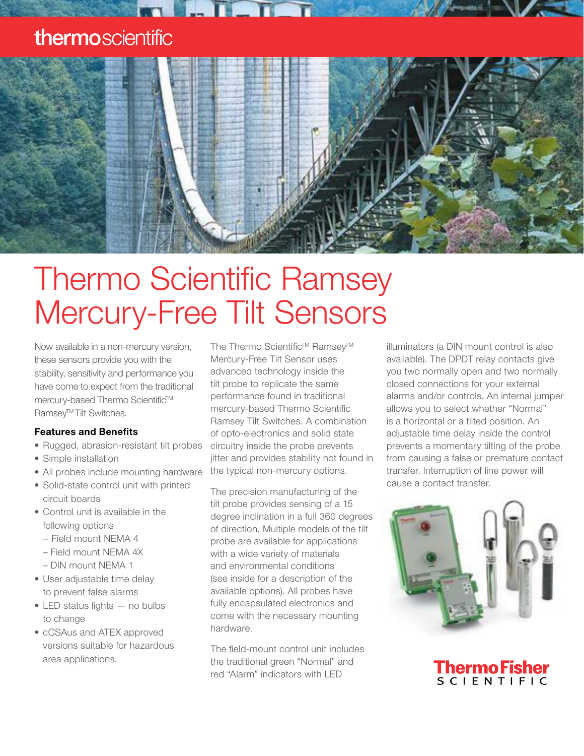### thermoscientific



# Thermo Scientific Ramsey Mercury-Free Tilt Sensors

Now available in a non-mercury version, these sensors provide you with the stability, sensitivity and performance you have come to expect from the traditional mercury-based Thermo Scientific™ Ramsev<sup>™</sup>Tilt Switches.

#### Features and Benefits

- Rugged, abrasion-resistant tilt probes
- Simple installation
- All probes include mounting hardware
- Solid-state control unit with printed circuit boards
- Control unit is available in the following options
	- Field mount NEMA 4
	- Field mount NEMA 4X
	- DIN mount NEMA 1
- User adjustable time delay to prevent false alarms
- LED status lights no bulbs to change
- cCSAus and ATEX approved versions suitable for hazardous area applications.

The Thermo Scientific™ Ramsey™ Mercury-Free Tilt Sensor uses advanced technology inside the tilt probe to replicate the same performance found in traditional mercury-based Thermo Scientific Ramsey Tilt Switches. A combination of opto-electronics and solid state circuitry inside the probe prevents jitter and provides stability not found in the typical non-mercury options.

The precision manufacturing of the tilt probe provides sensing of a 15 degree inclination in a full 360 degrees of direction. Multiple models of the tilt probe are available for applications with a wide variety of materials and environmental conditions (see inside for a description of the available options). All probes have fully encapsulated electronics and come with the necessary mounting hardware.

The field-mount control unit includes the traditional green "Normal" and red "Alarm" indicators with LED

illuminators (a DIN mount control is also available). The DPDT relay contacts give you two normally open and two normally closed connections for your external alarms and/or controls. An internal jumper allows you to select whether "Normal" is a horizontal or a tilted position. An adjustable time delay inside the control prevents a momentary tilting of the probe from causing a false or premature contact transfer. Interruption of line power will cause a contact transfer.



**Thermo Fisher SCIENTIFIC**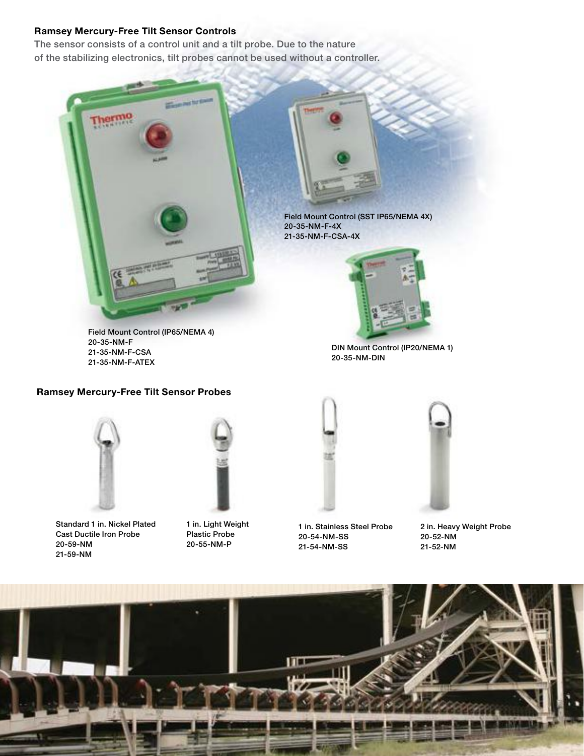#### Ramsey Mercury-Free Tilt Sensor Controls

The sensor consists of a control unit and a tilt probe. Due to the nature of the stabilizing electronics, tilt probes cannot be used without a controller.



Field Mount Control (IP65/NEMA 4) 20-35-NM-F 21-35-NM-F-CSA 21-35-NM-F-ATEX

Field Mount Control (SST IP65/NEMA 4X)



DIN Mount Control (IP20/NEMA 1) 20-35-NM-DIN

#### Ramsey Mercury-Free Tilt Sensor Probes



Standard 1 in. Nickel Plated Cast Ductile Iron Probe 20-59-NM 21-59-NM



1 in. Light Weight Plastic Probe 20-55-NM-P



1 in. Stainless Steel Probe 20-54-NM-SS 21-54-NM-SS

2 in. Heavy Weight Probe 20-52-NM 21-52-NM

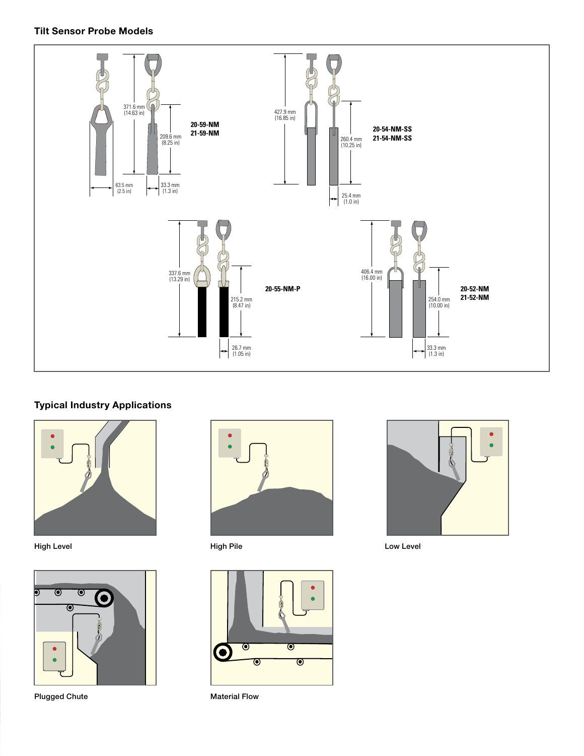#### Tilt Sensor Probe Models



#### Typical Industry Applications



High Level



Plugged Chute



High Pile



Material Flow



Low Level